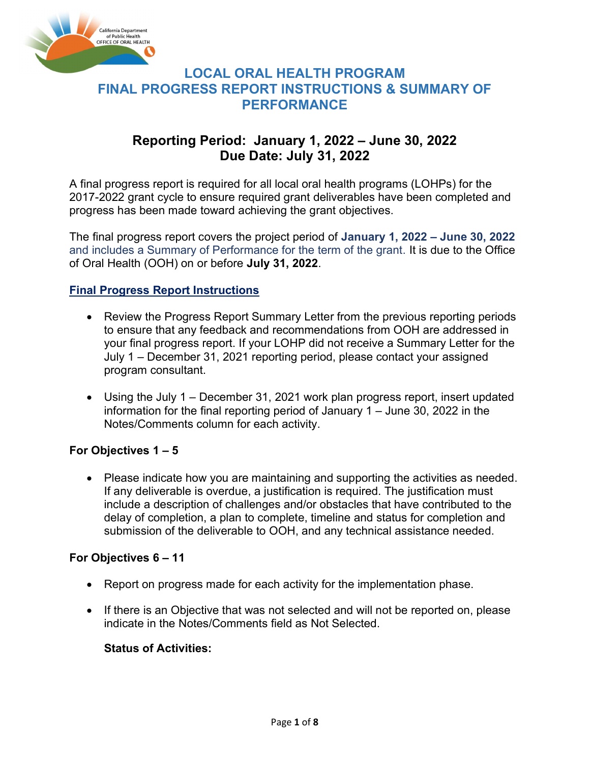

## Reporting Period: January 1, 2022 – June 30, 2022 Due Date: July 31, 2022

A final progress report is required for all local oral health programs (LOHPs) for the 2017-2022 grant cycle to ensure required grant deliverables have been completed and progress has been made toward achieving the grant objectives.

The final progress report covers the project period of January 1, 2022 – June 30, 2022 and includes a Summary of Performance for the term of the grant. It is due to the Office of Oral Health (OOH) on or before July 31, 2022.

## Final Progress Report Instructions

- Review the Progress Report Summary Letter from the previous reporting periods to ensure that any feedback and recommendations from OOH are addressed in your final progress report. If your LOHP did not receive a Summary Letter for the July 1 – December 31, 2021 reporting period, please contact your assigned program consultant.
- Using the July 1 December 31, 2021 work plan progress report, insert updated information for the final reporting period of January 1 – June 30, 2022 in the Notes/Comments column for each activity.

## For Objectives 1 – 5

 Please indicate how you are maintaining and supporting the activities as needed. If any deliverable is overdue, a justification is required. The justification must include a description of challenges and/or obstacles that have contributed to the delay of completion, a plan to complete, timeline and status for completion and submission of the deliverable to OOH, and any technical assistance needed.

## For Objectives 6 – 11

- Report on progress made for each activity for the implementation phase.
- If there is an Objective that was not selected and will not be reported on, please indicate in the Notes/Comments field as Not Selected.

## Status of Activities: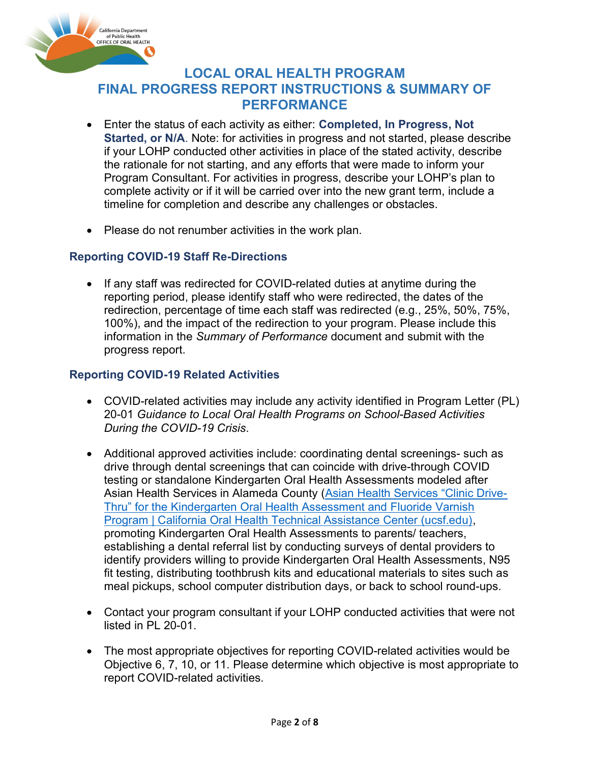

- Enter the status of each activity as either: Completed, In Progress, Not Started, or N/A. Note: for activities in progress and not started, please describe if your LOHP conducted other activities in place of the stated activity, describe the rationale for not starting, and any efforts that were made to inform your Program Consultant. For activities in progress, describe your LOHP's plan to complete activity or if it will be carried over into the new grant term, include a timeline for completion and describe any challenges or obstacles.
- Please do not renumber activities in the work plan.

## Reporting COVID-19 Staff Re-Directions

 If any staff was redirected for COVID-related duties at anytime during the reporting period, please identify staff who were redirected, the dates of the redirection, percentage of time each staff was redirected (e.g., 25%, 50%, 75%, 100%), and the impact of the redirection to your program. Please include this information in the Summary of Performance document and submit with the progress report.

## Reporting COVID-19 Related Activities

- COVID-related activities may include any activity identified in Program Letter (PL) 20-01 Guidance to Local Oral Health Programs on School-Based Activities During the COVID-19 Crisis.
- Additional approved activities include: coordinating dental screenings- such as drive through dental screenings that can coincide with drive-through COVID testing or standalone Kindergarten Oral Health Assessments modeled after Asian Health Services in Alameda County (Asian Health Services "Clinic Drive-Thru" for the Kindergarten Oral Health Assessment and Fluoride Varnish Program | California Oral Health Technical Assistance Center (ucsf.edu), promoting Kindergarten Oral Health Assessments to parents/ teachers, establishing a dental referral list by conducting surveys of dental providers to identify providers willing to provide Kindergarten Oral Health Assessments, N95 fit testing, distributing toothbrush kits and educational materials to sites such as meal pickups, school computer distribution days, or back to school round-ups.
- Contact your program consultant if your LOHP conducted activities that were not listed in PL 20-01.
- The most appropriate objectives for reporting COVID-related activities would be Objective 6, 7, 10, or 11. Please determine which objective is most appropriate to report COVID-related activities.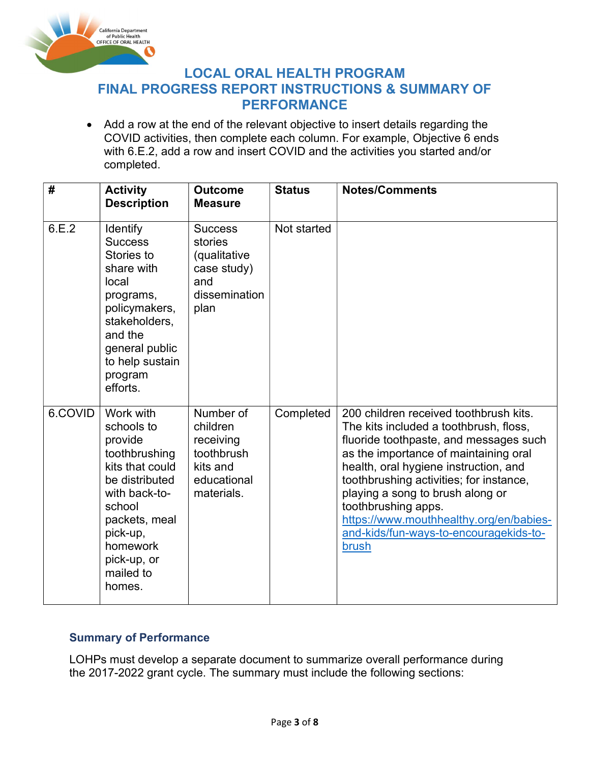

LOCAL ORAL HEALTH PROGRAM

# FINAL PROGRESS REPORT INSTRUCTIONS & SUMMARY OF PERFORMANCE

 Add a row at the end of the relevant objective to insert details regarding the COVID activities, then complete each column. For example, Objective 6 ends with 6.E.2, add a row and insert COVID and the activities you started and/or completed.

| #       | <b>Activity</b><br><b>Description</b>                                                                                                                                                              | <b>Outcome</b><br><b>Measure</b>                                                          | <b>Status</b> | <b>Notes/Comments</b>                                                                                                                                                                                                                                                                                                                                                                                            |
|---------|----------------------------------------------------------------------------------------------------------------------------------------------------------------------------------------------------|-------------------------------------------------------------------------------------------|---------------|------------------------------------------------------------------------------------------------------------------------------------------------------------------------------------------------------------------------------------------------------------------------------------------------------------------------------------------------------------------------------------------------------------------|
| 6.E.2   | <b>Identify</b><br><b>Success</b><br>Stories to<br>share with<br>local<br>programs,<br>policymakers,<br>stakeholders,<br>and the<br>general public<br>to help sustain<br>program<br>efforts.       | <b>Success</b><br>stories<br>(qualitative<br>case study)<br>and<br>dissemination<br>plan  | Not started   |                                                                                                                                                                                                                                                                                                                                                                                                                  |
| 6.COVID | Work with<br>schools to<br>provide<br>toothbrushing<br>kits that could<br>be distributed<br>with back-to-<br>school<br>packets, meal<br>pick-up,<br>homework<br>pick-up, or<br>mailed to<br>homes. | Number of<br>children<br>receiving<br>toothbrush<br>kits and<br>educational<br>materials. | Completed     | 200 children received toothbrush kits.<br>The kits included a toothbrush, floss,<br>fluoride toothpaste, and messages such<br>as the importance of maintaining oral<br>health, oral hygiene instruction, and<br>toothbrushing activities; for instance,<br>playing a song to brush along or<br>toothbrushing apps.<br>https://www.mouthhealthy.org/en/babies-<br>and-kids/fun-ways-to-encouragekids-to-<br>brush |

## Summary of Performance

LOHPs must develop a separate document to summarize overall performance during the 2017-2022 grant cycle. The summary must include the following sections: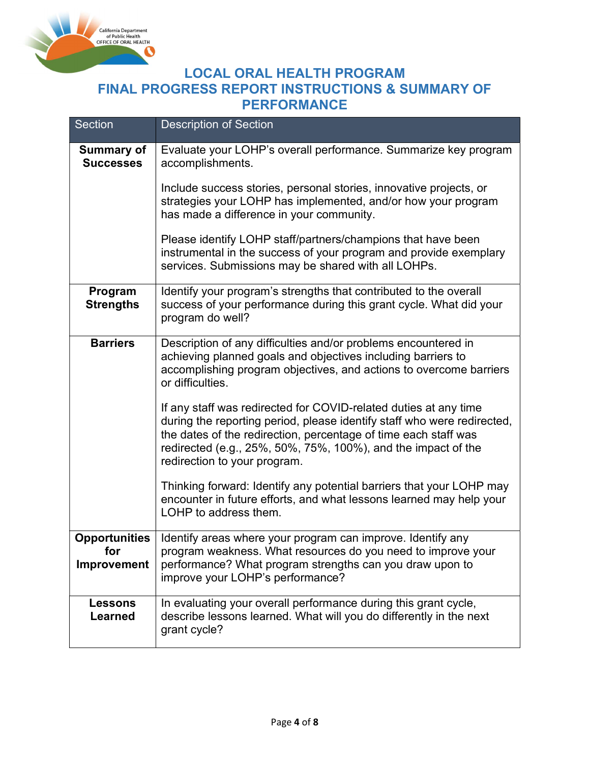

| <b>Section</b>                                    | <b>Description of Section</b>                                                                                                                                                                                                                                                                                                   |
|---------------------------------------------------|---------------------------------------------------------------------------------------------------------------------------------------------------------------------------------------------------------------------------------------------------------------------------------------------------------------------------------|
| <b>Summary of</b><br><b>Successes</b>             | Evaluate your LOHP's overall performance. Summarize key program<br>accomplishments.                                                                                                                                                                                                                                             |
|                                                   | Include success stories, personal stories, innovative projects, or<br>strategies your LOHP has implemented, and/or how your program<br>has made a difference in your community.                                                                                                                                                 |
|                                                   | Please identify LOHP staff/partners/champions that have been<br>instrumental in the success of your program and provide exemplary<br>services. Submissions may be shared with all LOHPs.                                                                                                                                        |
| Program<br><b>Strengths</b>                       | Identify your program's strengths that contributed to the overall<br>success of your performance during this grant cycle. What did your<br>program do well?                                                                                                                                                                     |
| <b>Barriers</b>                                   | Description of any difficulties and/or problems encountered in<br>achieving planned goals and objectives including barriers to<br>accomplishing program objectives, and actions to overcome barriers<br>or difficulties.                                                                                                        |
|                                                   | If any staff was redirected for COVID-related duties at any time<br>during the reporting period, please identify staff who were redirected,<br>the dates of the redirection, percentage of time each staff was<br>redirected (e.g., $25\%$ , $50\%$ , $75\%$ , $100\%$ ), and the impact of the<br>redirection to your program. |
|                                                   | Thinking forward: Identify any potential barriers that your LOHP may<br>encounter in future efforts, and what lessons learned may help your<br>LOHP to address them.                                                                                                                                                            |
| <b>Opportunities</b><br>for<br><b>Improvement</b> | Identify areas where your program can improve. Identify any<br>program weakness. What resources do you need to improve your<br>performance? What program strengths can you draw upon to<br>improve your LOHP's performance?                                                                                                     |
| <b>Lessons</b><br><b>Learned</b>                  | In evaluating your overall performance during this grant cycle,<br>describe lessons learned. What will you do differently in the next<br>grant cycle?                                                                                                                                                                           |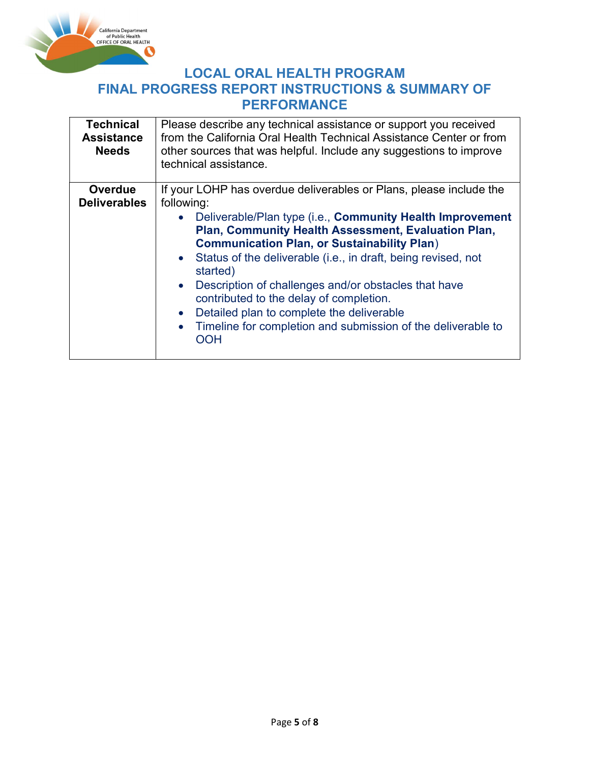

LOCAL ORAL HEALTH PROGRAM

# FINAL PROGRESS REPORT INSTRUCTIONS & SUMMARY OF PERFORMANCE

| <b>Technical</b><br><b>Assistance</b><br><b>Needs</b> | Please describe any technical assistance or support you received<br>from the California Oral Health Technical Assistance Center or from<br>other sources that was helpful. Include any suggestions to improve<br>technical assistance.                                                                                                                                                                                                                                                                                         |  |  |  |
|-------------------------------------------------------|--------------------------------------------------------------------------------------------------------------------------------------------------------------------------------------------------------------------------------------------------------------------------------------------------------------------------------------------------------------------------------------------------------------------------------------------------------------------------------------------------------------------------------|--|--|--|
| <b>Overdue</b>                                        | If your LOHP has overdue deliverables or Plans, please include the                                                                                                                                                                                                                                                                                                                                                                                                                                                             |  |  |  |
| <b>Deliverables</b>                                   | following:                                                                                                                                                                                                                                                                                                                                                                                                                                                                                                                     |  |  |  |
|                                                       | Deliverable/Plan type (i.e., Community Health Improvement<br>Plan, Community Health Assessment, Evaluation Plan,<br><b>Communication Plan, or Sustainability Plan)</b><br>Status of the deliverable (i.e., in draft, being revised, not<br>$\bullet$<br>started)<br>Description of challenges and/or obstacles that have<br>$\bullet$<br>contributed to the delay of completion.<br>Detailed plan to complete the deliverable<br>$\bullet$<br>Timeline for completion and submission of the deliverable to<br>$\bullet$<br>OOH |  |  |  |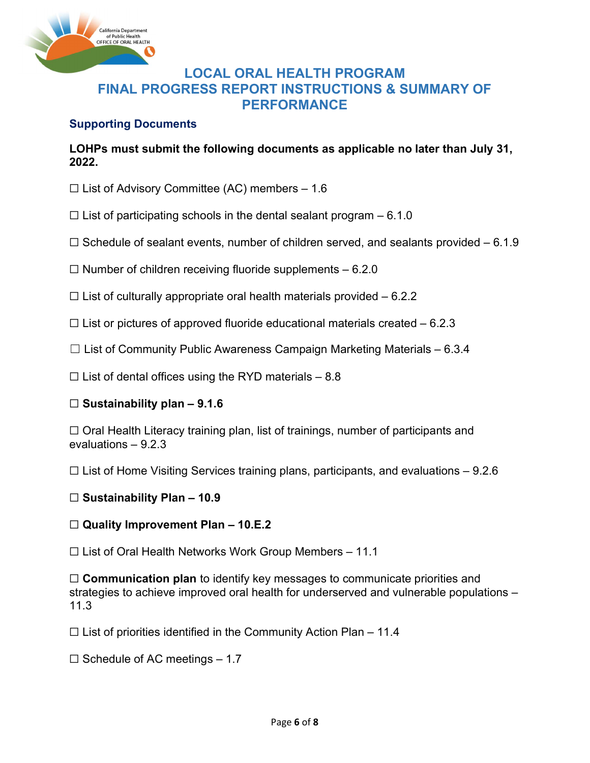

## Supporting Documents

LOHPs must submit the following documents as applicable no later than July 31, 2022.

- $\Box$  List of Advisory Committee (AC) members 1.6
- $\Box$  List of participating schools in the dental sealant program 6.1.0
- $\Box$  Schedule of sealant events, number of children served, and sealants provided 6.1.9
- $\Box$  Number of children receiving fluoride supplements  $-6.2.0$
- $\Box$  List of culturally appropriate oral health materials provided  $-6.2.2$
- $\Box$  List or pictures of approved fluoride educational materials created 6.2.3
- $\Box$  List of Community Public Awareness Campaign Marketing Materials 6.3.4
- $\Box$  List of dental offices using the RYD materials 8.8

## $\Box$  Sustainability plan – 9.1.6

☐ Oral Health Literacy training plan, list of trainings, number of participants and evaluations – 9.2.3

 $\Box$  List of Home Visiting Services training plans, participants, and evaluations – 9.2.6

## $\Box$  Sustainability Plan – 10.9

## $\Box$  Quality Improvement Plan – 10.E.2

 $\Box$  List of Oral Health Networks Work Group Members – 11.1

 $\Box$  Communication plan to identify key messages to communicate priorities and strategies to achieve improved oral health for underserved and vulnerable populations – 11.3

 $\Box$  List of priorities identified in the Community Action Plan – 11.4

 $\Box$  Schedule of AC meetings – 1.7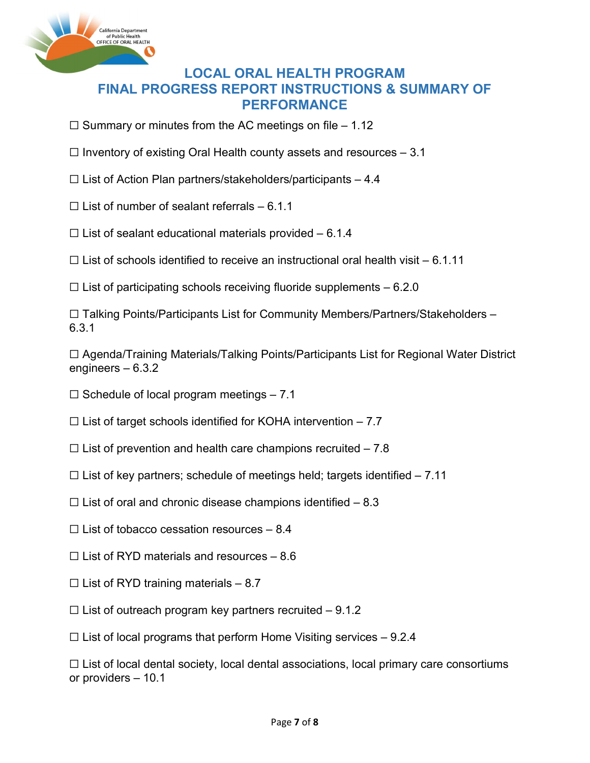

 $\Box$  Summary or minutes from the AC meetings on file – 1.12

- $\Box$  Inventory of existing Oral Health county assets and resources  $-3.1$
- $\Box$  List of Action Plan partners/stakeholders/participants 4.4
- $\Box$  List of number of sealant referrals 6.1.1
- $\Box$  List of sealant educational materials provided 6.1.4

 $\Box$  List of schools identified to receive an instructional oral health visit – 6.1.11

 $\Box$  List of participating schools receiving fluoride supplements  $-6.2.0$ 

☐ Talking Points/Participants List for Community Members/Partners/Stakeholders – 6.3.1

☐ Agenda/Training Materials/Talking Points/Participants List for Regional Water District engineers – 6.3.2

 $\Box$  Schedule of local program meetings  $-7.1$ 

 $\Box$  List of target schools identified for KOHA intervention – 7.7

- $\Box$  List of prevention and health care champions recruited 7.8
- $\Box$  List of key partners; schedule of meetings held; targets identified  $-7.11$
- $\Box$  List of oral and chronic disease champions identified  $-8.3$
- $\Box$  List of tobacco cessation resources 8.4
- $\Box$  List of RYD materials and resources 8.6
- $\Box$  List of RYD training materials 8.7
- $\Box$  List of outreach program key partners recruited 9.1.2

 $\Box$  List of local programs that perform Home Visiting services  $-9.2.4$ 

 $\Box$  List of local dental society, local dental associations, local primary care consortiums or providers – 10.1